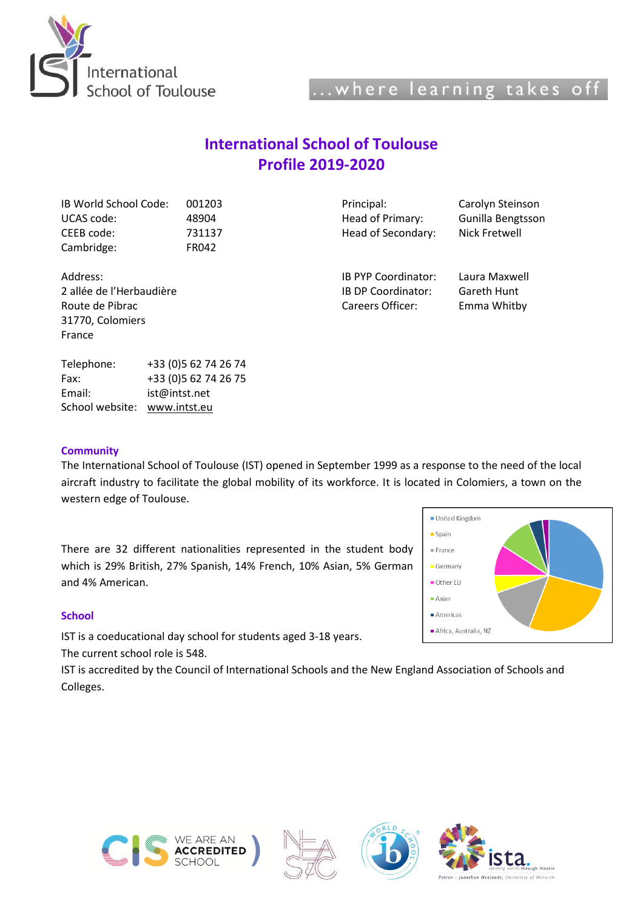

# **International School of Toulouse Profile 2019-2020**

| IB World School Code:    | 001203                | Principal:                | Carolyn Steinson  |  |
|--------------------------|-----------------------|---------------------------|-------------------|--|
| UCAS code:<br>48904      |                       | Head of Primary:          | Gunilla Bengtsson |  |
| CEEB code:               | 731137                | Head of Secondary:        | Nick Fretwell     |  |
| Cambridge:               | FR042                 |                           |                   |  |
| Address:                 |                       | IB PYP Coordinator:       | Laura Maxwell     |  |
| 2 allée de l'Herbaudière |                       | <b>IB DP Coordinator:</b> | Gareth Hunt       |  |
| Route de Pibrac          |                       | Careers Officer:          | Emma Whitby       |  |
| 31770, Colomiers         |                       |                           |                   |  |
| France                   |                       |                           |                   |  |
| Telephone:               | +33 (0) 5 62 74 26 74 |                           |                   |  |
| Fax:                     | +33 (0) 5 62 74 26 75 |                           |                   |  |
| Email:                   | ist@intst.net         |                           |                   |  |
| School website:          | www.intst.eu          |                           |                   |  |

# **Community**

The International School of Toulouse (IST) opened in September 1999 as a response to the need of the local aircraft industry to facilitate the global mobility of its workforce. It is located in Colomiers, a town on the western edge of Toulouse.

There are 32 different nationalities represented in the student body which is 29% British, 27% Spanish, 14% French, 10% Asian, 5% German and 4% American.

#### **School**

IST is a coeducational day school for students aged 3-18 years. The current school role is 548.

IST is accredited by the Council of International Schools and the New England Association of Schools and Colleges.









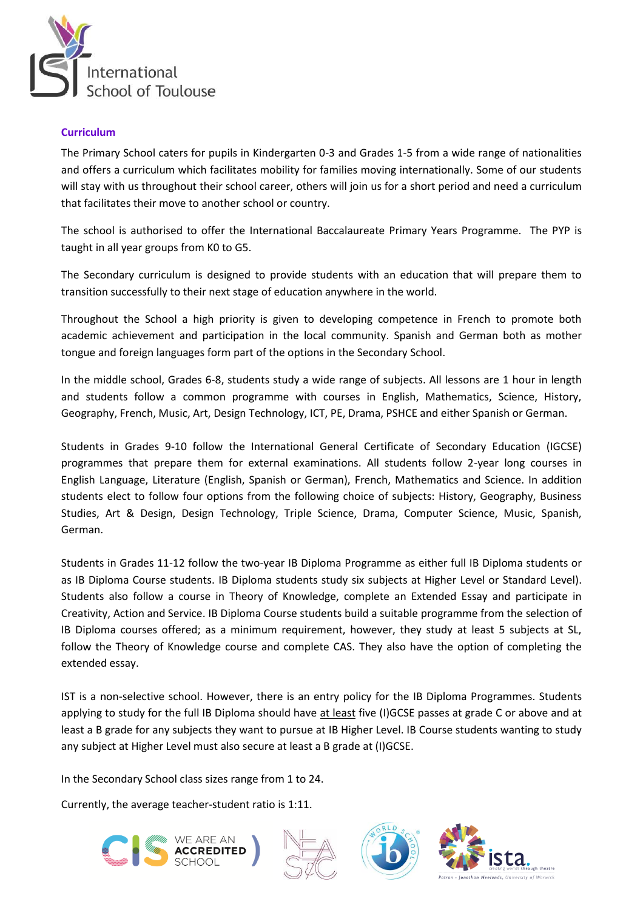

#### **Curriculum**

The Primary School caters for pupils in Kindergarten 0-3 and Grades 1-5 from a wide range of nationalities and offers a curriculum which facilitates mobility for families moving internationally. Some of our students will stay with us throughout their school career, others will join us for a short period and need a curriculum that facilitates their move to another school or country.

The school is authorised to offer the International Baccalaureate Primary Years Programme. The PYP is taught in all year groups from K0 to G5.

The Secondary curriculum is designed to provide students with an education that will prepare them to transition successfully to their next stage of education anywhere in the world.

Throughout the School a high priority is given to developing competence in French to promote both academic achievement and participation in the local community. Spanish and German both as mother tongue and foreign languages form part of the options in the Secondary School.

In the middle school, Grades 6-8, students study a wide range of subjects. All lessons are 1 hour in length and students follow a common programme with courses in English, Mathematics, Science, History, Geography, French, Music, Art, Design Technology, ICT, PE, Drama, PSHCE and either Spanish or German.

Students in Grades 9-10 follow the International General Certificate of Secondary Education (IGCSE) programmes that prepare them for external examinations. All students follow 2-year long courses in English Language, Literature (English, Spanish or German), French, Mathematics and Science. In addition students elect to follow four options from the following choice of subjects: History, Geography, Business Studies, Art & Design, Design Technology, Triple Science, Drama, Computer Science, Music, Spanish, German.

Students in Grades 11-12 follow the two-year IB Diploma Programme as either full IB Diploma students or as IB Diploma Course students. IB Diploma students study six subjects at Higher Level or Standard Level). Students also follow a course in Theory of Knowledge, complete an Extended Essay and participate in Creativity, Action and Service. IB Diploma Course students build a suitable programme from the selection of IB Diploma courses offered; as a minimum requirement, however, they study at least 5 subjects at SL, follow the Theory of Knowledge course and complete CAS. They also have the option of completing the extended essay.

IST is a non-selective school. However, there is an entry policy for the IB Diploma Programmes. Students applying to study for the full IB Diploma should have at least five (I)GCSE passes at grade C or above and at least a B grade for any subjects they want to pursue at IB Higher Level. IB Course students wanting to study any subject at Higher Level must also secure at least a B grade at (I)GCSE.

In the Secondary School class sizes range from 1 to 24.

Currently, the average teacher-student ratio is 1:11.







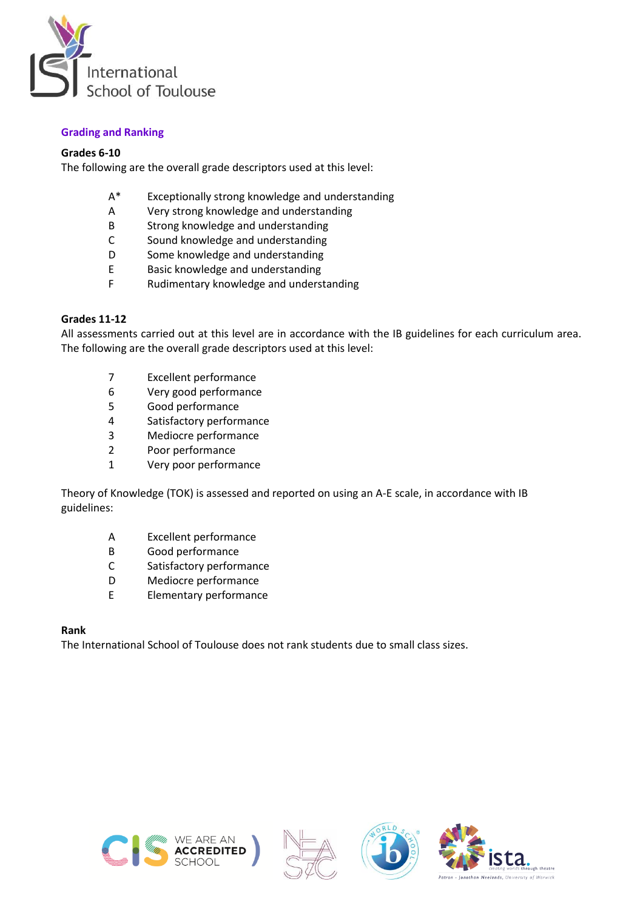

# **Grading and Ranking**

# **Grades 6-10**

The following are the overall grade descriptors used at this level:

- A\* Exceptionally strong knowledge and understanding
- A Very strong knowledge and understanding<br>B Strong knowledge and understanding
- Strong knowledge and understanding
- C Sound knowledge and understanding
- D Some knowledge and understanding
- E Basic knowledge and understanding
- F Rudimentary knowledge and understanding

#### **Grades 11-12**

All assessments carried out at this level are in accordance with the IB guidelines for each curriculum area. The following are the overall grade descriptors used at this level:

- 7 Excellent performance
- 6 Very good performance
- 5 Good performance
- 4 Satisfactory performance
- 3 Mediocre performance
- 2 Poor performance
- 1 Very poor performance

Theory of Knowledge (TOK) is assessed and reported on using an A-E scale, in accordance with IB guidelines:

- A Excellent performance
- B Good performance
- C Satisfactory performance
- D Mediocre performance
- E Elementary performance

#### **Rank**

The International School of Toulouse does not rank students due to small class sizes.







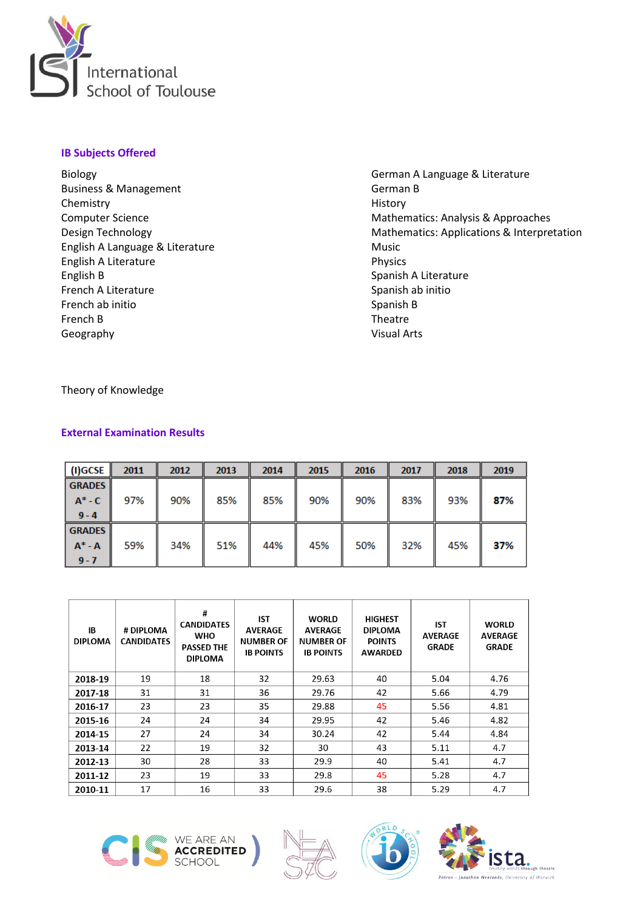

# **IB Subjects Offered**

Biology Business & Management Chemistry Computer Science Design Technology English A Language & Literature English A Literature English B French A Literature French ab initio French B Geography

German A Language & Literature German B History Mathematics: Analysis & Approaches Mathematics: Applications & Interpretation Music Physics Spanish A Literature Spanish ab initio Spanish B Theatre Visual Arts

Theory of Knowledge

# **External Examination Results**

| (I)GCSE       | 2011 | 2012 | 2013 | 2014 | 2015 | 2016 | 2017 | 2018 | 2019 |
|---------------|------|------|------|------|------|------|------|------|------|
| <b>GRADES</b> |      |      |      |      |      |      |      |      |      |
| $A^*$ - C     | 97%  | 90%  | 85%  | 85%  | 90%  | 90%  | 83%  | 93%  | 87%  |
| $9 - 4$       |      |      |      |      |      |      |      |      |      |
| <b>GRADES</b> |      |      |      |      |      |      |      |      |      |
| $A^* - A$     | 59%  | 34%  | 51%  | 44%  | 45%  | 50%  | 32%  | 45%  | 37%  |
| $9 - 7$       |      |      |      |      |      |      |      |      |      |

| ΙB<br><b>DIPLOMA</b> | # DIPLOMA<br><b>CANDIDATES</b> | #<br><b>CANDIDATES</b><br><b>WHO</b><br><b>PASSED THE</b><br><b>DIPLOMA</b> | <b>IST</b><br><b>AVERAGE</b><br><b>NUMBER OF</b><br><b>IB POINTS</b> | <b>WORLD</b><br><b>AVERAGE</b><br><b>NUMBER OF</b><br><b>IB POINTS</b> | <b>HIGHEST</b><br><b>DIPLOMA</b><br><b>POINTS</b><br><b>AWARDED</b> | IST<br><b>AVERAGE</b><br><b>GRADE</b> | <b>WORLD</b><br><b>AVERAGE</b><br><b>GRADE</b> |
|----------------------|--------------------------------|-----------------------------------------------------------------------------|----------------------------------------------------------------------|------------------------------------------------------------------------|---------------------------------------------------------------------|---------------------------------------|------------------------------------------------|
| 2018-19              | 19                             | 18                                                                          | 32                                                                   | 29.63                                                                  | 40                                                                  | 5.04                                  | 4.76                                           |
| 2017-18              | 31                             | 31                                                                          | 36                                                                   | 29.76                                                                  | 42                                                                  | 5.66                                  | 4.79                                           |
| 2016-17              | 23                             | 23                                                                          | 35                                                                   | 29.88                                                                  | 45                                                                  | 5.56                                  | 4.81                                           |
| 2015-16              | 24                             | 24                                                                          | 34                                                                   | 29.95                                                                  | 42                                                                  | 5.46                                  | 4.82                                           |
| 2014-15              | 27                             | 24                                                                          | 34                                                                   | 30.24                                                                  | 42                                                                  | 5.44                                  | 4.84                                           |
| 2013-14              | 22                             | 19                                                                          | 32                                                                   | 30                                                                     | 43                                                                  | 5.11                                  | 4.7                                            |
| 2012-13              | 30                             | 28                                                                          | 33                                                                   | 29.9                                                                   | 40                                                                  | 5.41                                  | 4.7                                            |
| 2011-12              | 23                             | 19                                                                          | 33                                                                   | 29.8                                                                   | 45                                                                  | 5.28                                  | 4.7                                            |
| 2010-11              | 17                             | 16                                                                          | 33                                                                   | 29.6                                                                   | 38                                                                  | 5.29                                  | 4.7                                            |